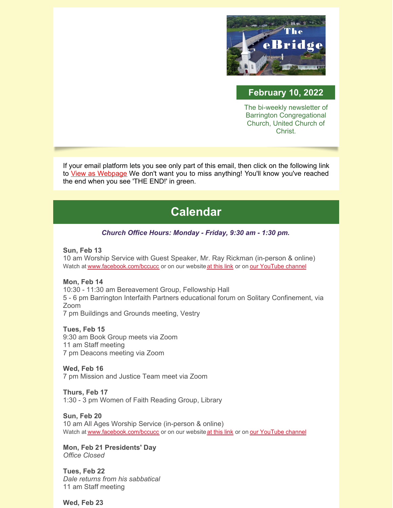

## **February 10, 2022**

The bi-weekly newsletter of Barrington Congregational Church, United Church of Christ.

If your email platform lets you see only part of this email, then click on the following link to View as [Webpage](https://campaignlp.constantcontact.com/em/1102946372254/67bf555f-c040-4c19-9991-35e128243181) We don't want you to miss anything! You'll know you've reached the end when you see 'THE END!' in green.

# **Calendar**

#### *Church Office Hours: Monday - Friday, 9:30 am - 1:30 pm.*

#### **Sun, Feb 13**

10 am Worship Service with Guest Speaker, Mr. Ray Rickman (in-person & online) Watch at [www.facebook.com/bccucc](http://www.facebook.com/bccucc) or on our website at [this](https://bccucc.org/live-stream-2/) link or on our [YouTube](https://www.youtube.com/channel/UCBjKZdn4bkIM7sMtAuxgNnQ) channel

#### **Mon, Feb 14**

10:30 - 11:30 am Bereavement Group, Fellowship Hall 5 - 6 pm Barrington Interfaith Partners educational forum on Solitary Confinement, via Zoom

7 pm Buildings and Grounds meeting, Vestry

#### **Tues, Feb 15**

9:30 am Book Group meets via Zoom 11 am Staff meeting 7 pm Deacons meeting via Zoom

**Wed, Feb 16** 7 pm Mission and Justice Team meet via Zoom

**Thurs, Feb 17** 1:30 - 3 pm Women of Faith Reading Group, Library

**Sun, Feb 20** 10 am All Ages Worship Service (in-person & online) Watch at [www.facebook.com/bccucc](http://www.facebook.com/bccucc) or on our website at [this](https://bccucc.org/live-stream-2/) link or on our [YouTube](https://www.youtube.com/channel/UCBjKZdn4bkIM7sMtAuxgNnQ) channel

**Mon, Feb 21 Presidents' Day** *Office Closed*

**Tues, Feb 22** *Dale returns from his sabbatical* 11 am Staff meeting

**Wed, Feb 23**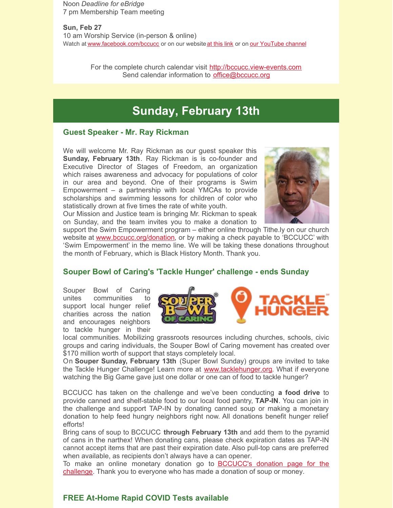Noon *Deadline for eBridge* 7 pm Membership Team meeting

**Sun, Feb 27** 10 am Worship Service (in-person & online) Watch at [www.facebook.com/bccucc](http://www.facebook.com/bccucc) or on our website at [this](https://bccucc.org/live-stream-2/) link or on our [YouTube](https://www.youtube.com/channel/UCBjKZdn4bkIM7sMtAuxgNnQ) channel

> For the complete church calendar visit [http://bccucc.view-events.com](http://bccucc.view-events.com/) Send calendar information to [office@bccucc.org](mailto:office@bccucc.org)

# **Sunday, February 13th**

#### **Guest Speaker - Mr. Ray Rickman**

We will welcome Mr. Ray Rickman as our guest speaker this **Sunday, February 13th**. Ray Rickman is is co-founder and Executive Director of Stages of Freedom, an organization which raises awareness and advocacy for populations of color in our area and beyond. One of their programs is Swim Empowerment – a partnership with local YMCAs to provide scholarships and swimming lessons for children of color who statistically drown at five times the rate of white youth.

Our Mission and Justice team is bringing Mr. Rickman to speak on Sunday, and the team invites you to make a donation to



support the Swim Empowerment program – either online through Tithe.ly on our church website at [www.bccucc.org/donation,](http://www.bccucc.org/donation) or by making a check payable to 'BCCUCC' with 'Swim Empowerment' in the memo line. We will be taking these donations throughout the month of February, which is Black History Month. Thank you.

#### **Souper Bowl of Caring's 'Tackle Hunger' challenge - ends Sunday**

Souper Bowl of Caring unites communities to support local hunger relief charities across the nation and encourages neighbors to tackle hunger in their



local communities. Mobilizing grassroots resources including churches, schools, civic groups and caring individuals, the Souper Bowl of Caring movement has created over \$170 million worth of support that stays completely local.

On **Souper Sunday, February 13th** (Super Bowl Sunday) groups are invited to take the Tackle Hunger Challenge! Learn more at [www.tacklehunger.org](http://www.tacklehunger.org/). What if everyone watching the Big Game gave just one dollar or one can of food to tackle hunger?

BCCUCC has taken on the challenge and we've been conducting **a food drive** to provide canned and shelf-stable food to our local food pantry, **TAP-IN**. You can join in the challenge and support TAP-IN by donating canned soup or making a monetary donation to help feed hungry neighbors right now. All donations benefit hunger relief efforts!

Bring cans of soup to BCCUCC **through February 13th** and add them to the pyramid of cans in the narthex! When donating cans, please check expiration dates as TAP-IN cannot accept items that are past their expiration date. Also pull-top cans are preferred when available, as recipients don't always have a can opener.

To make an online monetary donation go to **[BCCUCC's](https://map.tacklehunger.org/donate/barringtoncc) donation page for the** challenge. Thank you to everyone who has made a donation of soup or money.

#### **FREE At-Home Rapid COVID Tests available**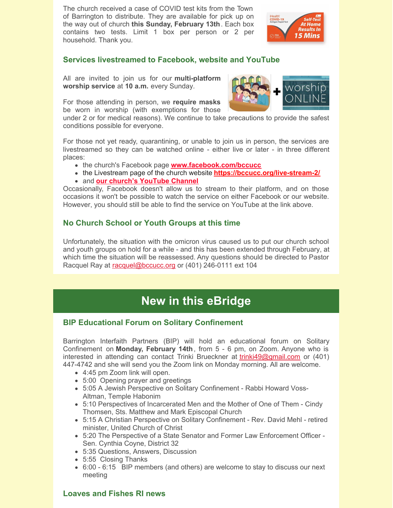The church received a case of COVID test kits from the Town of Barrington to distribute. They are available for pick up on the way out of church **this Sunday, February 13th**. Each box contains two tests. Limit 1 box per person or 2 per household. Thank you.



## **Services livestreamed to Facebook, website and YouTube**

All are invited to join us for our **multi-platform worship service** at **10 a.m.** every Sunday.

For those attending in person, we **require masks** be worn in worship (with exemptions for those

under 2 or for medical reasons). We continue to take precautions to provide the safest conditions possible for everyone.

For those not yet ready, quarantining, or unable to join us in person, the services are livestreamed so they can be watched online - either live or later - in three different places:

- **the church's Facebook page [www.facebook.com/bccucc](http://www.facebook.com/bccucc)**
- the Livestream page of the church website **<https://bccucc.org/live-stream-2/>**
- and **our church's [YouTube](https://www.youtube.com/channel/UCBjKZdn4bkIM7sMtAuxgNnQ) Channel**

Occasionally, Facebook doesn't allow us to stream to their platform, and on those occasions it won't be possible to watch the service on either Facebook or our website. However, you should still be able to find the service on YouTube at the link above.

## **No Church School or Youth Groups at this time**

Unfortunately, the situation with the omicron virus caused us to put our church school and youth groups on hold for a while - and this has been extended through February, at which time the situation will be reassessed. Any questions should be directed to Pastor Racquel Ray at [racquel@bccucc.org](mailto:racquel@bccucc.org) or (401) 246-0111 ext 104

# **New in this eBridge**

## **BIP Educational Forum on Solitary Confinement**

Barrington Interfaith Partners (BIP) will hold an educational forum on Solitary Confinement on **Monday, February 14th**, from 5 - 6 pm, on Zoom. Anyone who is interested in attending can contact Trinki Brueckner at [trinki49@gmail.com](mailto:trinki49@gmail.com) or (401) 447-4742 and she will send you the Zoom link on Monday morning. All are welcome.

- 4:45 pm Zoom link will open.
- 5:00 Opening prayer and greetings
- 5:05 A Jewish Perspective on Solitary Confinement Rabbi Howard Voss-Altman, Temple Habonim
- 5:10 Perspectives of Incarcerated Men and the Mother of One of Them Cindy Thomsen, Sts. Matthew and Mark Episcopal Church
- 5:15 A Christian Perspective on Solitary Confinement Rev. David Mehl retired minister, United Church of Christ
- 5:20 The Perspective of a State Senator and Former Law Enforcement Officer Sen. Cynthia Coyne, District 32
- 5:35 Questions, Answers, Discussion
- 5:55 Closing Thanks
- 6:00 6:15 BIP members (and others) are welcome to stay to discuss our next meeting

## **Loaves and Fishes RI news**

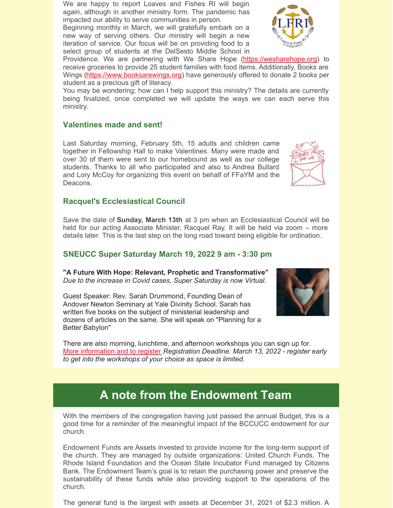We are happy to report Loaves and Fishes RI will begin again, although in another ministry form. The pandemic has impacted our ability to serve communities in person.

Beginning monthly in March, we will gratefully embark on a new way of serving others. Our ministry will begin a new iteration of service. Our focus will be on providing food to a select group of students at the DelSesto Middle School in

Providence. We are partnering with We Share Hope [\(https://wesharehope.org](https://wesharehope.org/)) to receive groceries to provide 25 student families with food items. Additionally, Books are Wings [\(https://www.booksarewings.org](https://www.booksarewings.org/)) have generously offered to donate 2 books per student as a precious gift of literacy.

You may be wondering; how can I help support this ministry? The details are currently being finalized, once completed we will update the ways we can each serve this ministry.

## **Valentines made and sent!**

Last Saturday morning, February 5th, 15 adults and children came together in Fellowship Hall to make Valentines. Many were made and over 30 of them were sent to our homebound as well as our college students. Thanks to all who participated and also to Andrea Bullard and Lory McCoy for organizing this event on behalf of FFaYM and the Deacons.

#### **Racquel's Ecclesiastical Council**

Save the date of **Sunday, March 13th** at 3 pm when an Ecclesiastical Council will be held for our acting Associate Minister, Racquel Ray. It will be held via zoom – more details later. This is the last step on the long road toward being eligible for ordination.

## **SNEUCC Super Saturday March 19, 2022 9 am - 3:30 pm**

**"A Future With Hope: Relevant, Prophetic and Transformative"** *Due to the increase in Covid cases, Super Saturday is now Virtual.*

Guest Speaker: Rev. Sarah Drummond, Founding Dean of Andover Newton Seminary at Yale Divinity School. Sarah has written five books on the subject of ministerial leadership and dozens of articles on the same. She will speak on "Planning for a Better Babylon"

There are also morning, lunchtime, and afternoon workshops you can sign up for. More [information](https://www.sneucc.org/eventdetail/15280214?month=3&year=2022&day=1&display=m) and to register *Registration Deadline: March 13, 2022 - register early to get into the workshops of your choice as space is limited.*

# **A note from the Endowment Team**

With the members of the congregation having just passed the annual Budget, this is a good time for a reminder of the meaningful impact of the BCCUCC endowment for our church.

Endowment Funds are Assets invested to provide income for the long-term support of the church. They are managed by outside organizations: United Church Funds, The Rhode Island Foundation and the Ocean State Incubator Fund managed by Citizens Bank. The Endowment Team's goal is to retain the purchasing power and preserve the sustainability of these funds while also providing support to the operations of the church.

The general fund is the largest with assets at December 31, 2021 of \$2.3 million. A





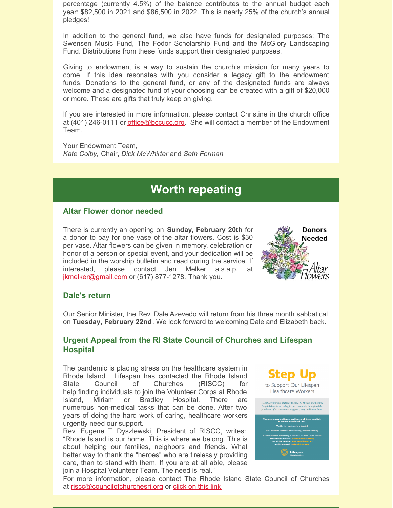percentage (currently 4.5%) of the balance contributes to the annual budget each year: \$82,500 in 2021 and \$86,500 in 2022. This is nearly 25% of the church's annual pledges!

In addition to the general fund, we also have funds for designated purposes: The Swensen Music Fund, The Fodor Scholarship Fund and the McGlory Landscaping Fund. Distributions from these funds support their designated purposes.

Giving to endowment is a way to sustain the church's mission for many years to come. If this idea resonates with you consider a legacy gift to the endowment funds. Donations to the general fund, or any of the designated funds are always welcome and a designated fund of your choosing can be created with a gift of \$20,000 or more. These are gifts that truly keep on giving.

If you are interested in more information, please contact Christine in the church office at (401) 246-0111 or *[office@bccucc.org](mailto:office@bccucc.org)*. She will contact a member of the Endowment Team.

Your Endowment Team, *Kate Colby,* Chair, *Dick McWhirter* and *Seth Forman*

# **Worth repeating**

#### **Altar Flower donor needed**

There is currently an opening on **Sunday, February 20th** for a donor to pay for one vase of the altar flowers. Cost is \$30 per vase. Altar flowers can be given in memory, celebration or honor of a person or special event, and your dedication will be included in the worship bulletin and read during the service. If interested, please contact Jen Melker a.s.a.p. at [jkmelker@gmail.com](mailto:jkmelker@gmail.com) or (617) 877-1278. Thank you.



#### **Dale's return**

Our Senior Minister, the Rev. Dale Azevedo will return from his three month sabbatical on **Tuesday, February 22nd**. We look forward to welcoming Dale and Elizabeth back.

#### **Urgent Appeal from the RI State Council of Churches and Lifespan Hospital**

The pandemic is placing stress on the healthcare system in Rhode Island. Lifespan has contacted the Rhode Island State Council of Churches (RISCC) for help finding individuals to join the Volunteer Corps at Rhode Island, Miriam or Bradley Hospital. There are numerous non-medical tasks that can be done. After two years of doing the hard work of caring, healthcare workers urgently need our support.

Rev. Eugene T. Dyszlewski, President of RISCC, writes: "Rhode Island is our home. This is where we belong. This is about helping our families, neighbors and friends. What better way to thank the "heroes" who are tirelessly providing care, than to stand with them. If you are at all able, please join a Hospital Volunteer Team. The need is real."



For more information, please contact The Rhode Island State Council of Churches at [riscc@councilofchurchesri.org](mailto:riscc@councilofchurchesri.org) or [click](https://files.constantcontact.com/e9a0abcc001/566878a6-c5c8-47b9-9d30-52ad802f6a14.pdf) on this link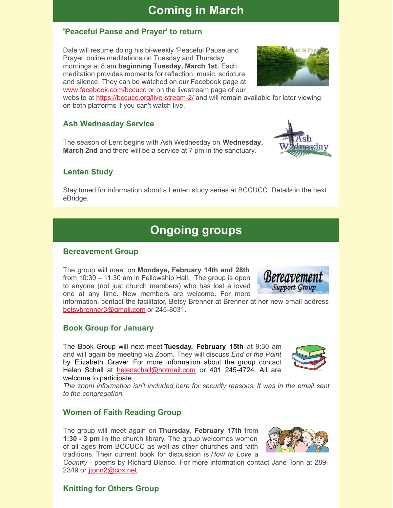# **Coming in March**

## **'Peaceful Pause and Prayer' to return**

Dale will resume doing his bi-weekly 'Peaceful Pause and Prayer' online meditations on Tuesday and Thursday mornings at 8 am **beginning Tuesday, March 1st.** Each meditation provides moments for reflection, music, scripture, and silence. They can be watched on our Facebook page at [www.facebook.com/bccucc](http://www.facebook.com/bccucc) or on the livestream page of our

website at <https://bccucc.org/live-stream-2/> and will remain available for later viewing on both platforms if you can't watch live.

## **Ash Wednesday Service**

The season of Lent begins with Ash Wednesday on **Wednesday, March 2nd** and there will be a service at 7 pm in the sanctuary.

## **Lenten Study**

Stay tuned for information about a Lenten study series at BCCUCC. Details in the next eBridge.

# **Ongoing groups**

#### **Bereavement Group**

The group will meet on **Mondays, February 14th and 28th** from 10:30 – 11:30 am in Fellowship Hall. The group is open to anyone (not just church members) who has lost a loved one at any time. New members are welcome. For more information, contact the facilitator, Betsy Brenner at Brenner at her new email address

## **Book Group for January**

[betsybrenner3@gmail.com](mailto:betsybrenner3@gmail.com) or 245-8031.

The Book Group will next meet **Tuesday, February 15th** at 9:30 am and will again be meeting via Zoom. They will discuss *End of the Point* by Elizabeth Graver. For more information about the group contact Helen Schall at [helenschall@hotmail.com](mailto:helenschall@hotmail.com) or 401 245-4724. All are welcome to participate.

*The zoom information isn't included here for security reasons. It was in the email sent to the congregation.*

## **Women of Faith Reading Group**

The group will meet again on **Thursday, February 17th** from **1:30 - 3 pm i**n the church library. The group welcomes women of all ages from BCCUCC as well as other churches and faith traditions. Their current book for discussion is *How to Love a*

*Country* - poems by Richard Blanco. For more information contact Jane Tonn at 289 2349 or [jtonn2@cox.net](mailto:jtonn2@cox.net).

## **Knitting for Others Group**





Support Group





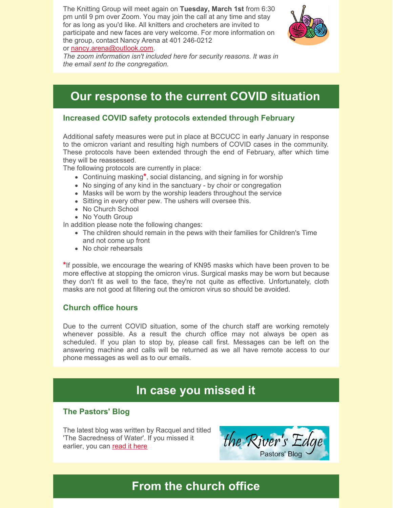The Knitting Group will meet again on **Tuesday, March 1st** from 6:30 pm until 9 pm over Zoom. You may join the call at any time and stay for as long as you'd like. All knitters and crocheters are invited to participate and new faces are very welcome. For more information on the group, contact Nancy Arena at 401 246-0212 or [nancy.arena@outlook.com](mailto:nancy.arena@outlook.com).



*The zoom information isn't included here for security reasons. It was in the email sent to the congregation.*

# **Our response to the current COVID situation**

#### **Increased COVID safety protocols extended through February**

Additional safety measures were put in place at BCCUCC in early January in response to the omicron variant and resulting high numbers of COVID cases in the community. These protocols have been extended through the end of February, after which time they will be reassessed.

The following protocols are currently in place:

- Continuing masking**\***, social distancing, and signing in for worship
- No singing of any kind in the sanctuary by choir or congregation
- Masks will be worn by the worship leaders throughout the service
- Sitting in every other pew. The ushers will oversee this.
- No Church School
- No Youth Group

In addition please note the following changes:

- The children should remain in the pews with their families for Children's Time and not come up front
- No choir rehearsals

**\***If possible, we encourage the wearing of KN95 masks which have been proven to be more effective at stopping the omicron virus. Surgical masks may be worn but because they don't fit as well to the face, they're not quite as effective. Unfortunately, cloth masks are not good at filtering out the omicron virus so should be avoided.

#### **Church office hours**

Due to the current COVID situation, some of the church staff are working remotely whenever possible. As a result the church office may not always be open as scheduled. If you plan to stop by, please call first. Messages can be left on the answering machine and calls will be returned as we all have remote access to our phone messages as well as to our emails.

## **In case you missed it**

## **The Pastors' Blog**

The latest blog was written by Racquel and titled 'The Sacredness of Water'. If you missed it earlier, you can [read](https://bccucc.org/the-sacredness-of-water/) it here

the River's Pastors' Blog

# **From the church office**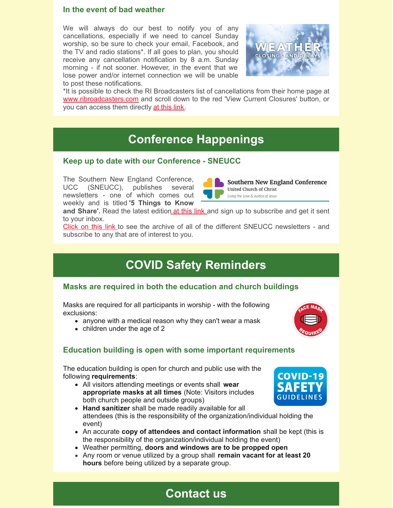#### **In the event of bad weather**

We will always do our best to notify you of any cancellations, especially if we need to cancel Sunday worship, so be sure to check your email, Facebook, and the TV and radio stations\*. If all goes to plan, you should receive any cancellation notification by 8 a.m. Sunday morning - if not sooner. However, in the event that we lose power and/or internet connection we will be unable to post these notifications.



**Southern New England Conference** 

United Church of Christ Living the Love & Justice of Jesus

\*It is possible to check the RI Broadcasters list of cancellations from their home page at [www.ribroadcasters.com](http://www.ribroadcasters.com) and scroll down to the red 'View Current Closures' button, or you can access them directly at [this](https://www.ribroadcasters.com/News_and_Events/Closings_Delays/) link.

# **Conference Happenings**

#### **Keep up to date with our Conference - SNEUCC**

The Southern New England Conference, UCC (SNEUCC), publishes several newsletters - one of which comes out weekly and is titled **'5 Things to Know**

**and Share'.** Read the latest edition at [this](http://sneucc-email.brtapp.com/viewinsite/a4ccc1ccc58bc952769bd39f6e77808e?email=office@bccucc.org) link and sign up to subscribe and get it sent to your inbox.

[Click](http://r20.rs6.net/tn.jsp?f=001e8o9X4j8x6IOcUqsMj8ESumQ_-XrimigaGAJrqnV76sb4kvaUeqPVOzf33mqnifpRdyTxEVBrI4CAIf0rFOkhdDzMHvJppRHyZIq_2D1txhHlXAVoTi0GxTsasYr0cRy_9ERmrD6vlnnWUle5N_LO38p3DRQhfkC&c=BWZrLHb0up465m0DfwOi3dqwUvDbuTYCXKOk1NeFvZaraYhUZgIZxA==&ch=D5eSjmNCf95ADRjiaDEGE5dP5geDdt1LSwpAHHgJTIYSS37sivt4ow==) on this link to see the archive of all of the different SNEUCC newsletters - and subscribe to any that are of interest to you.

# **COVID Safety Reminders**

#### **Masks are required in both the education and church buildings**

Masks are required for all participants in worship - with the following exclusions:

- anyone with a medical reason why they can't wear a mask
- children under the age of 2



## **Education building is open with some important requirements**

The education building is open for church and public use with the following **requirements**:

All visitors attending meetings or events shall **wear appropriate masks at all times** (Note: Visitors includes both church people and outside groups)



- An accurate **copy of attendees and contact information** shall be kept (this is the responsibility of the organization/individual holding the event)
- Weather permitting, **doors and windows are to be propped open**
- Any room or venue utilized by a group shall **remain vacant for at least 20 hours** before being utilized by a separate group.



# **Contact us**